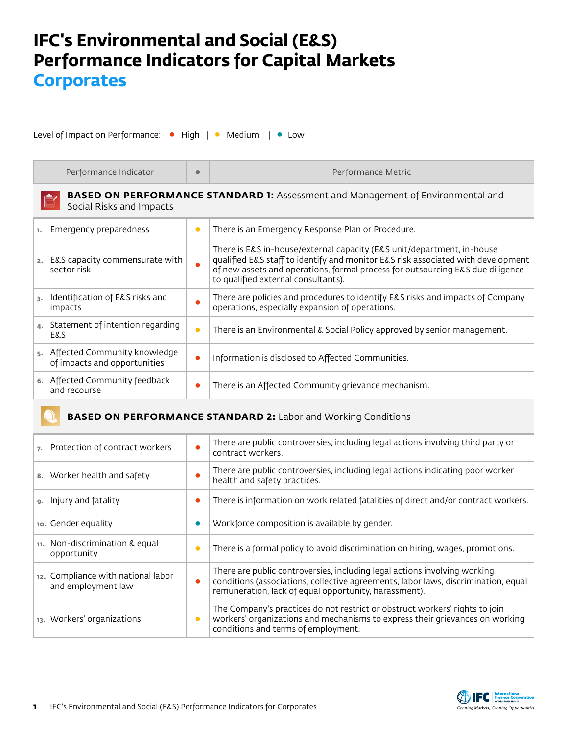## **IFC's Environmental and Social (E&S) Performance Indicators for Capital Markets Corporates**

Level of Impact on Performance: • High | • Medium | • Low

| Performance Indicator                                                                                              | $\bullet$ | Performance Metric                                                                                                                                                                                                                                                                  |  |
|--------------------------------------------------------------------------------------------------------------------|-----------|-------------------------------------------------------------------------------------------------------------------------------------------------------------------------------------------------------------------------------------------------------------------------------------|--|
| <b>BASED ON PERFORMANCE STANDARD 1:</b> Assessment and Management of Environmental and<br>Social Risks and Impacts |           |                                                                                                                                                                                                                                                                                     |  |
| Emergency preparedness<br>1.                                                                                       | $\bullet$ | There is an Emergency Response Plan or Procedure.                                                                                                                                                                                                                                   |  |
| E&S capacity commensurate with<br>2.<br>sector risk                                                                | $\bullet$ | There is E&S in-house/external capacity (E&S unit/department, in-house<br>qualified E&S staff to identify and monitor E&S risk associated with development<br>of new assets and operations, formal process for outsourcing E&S due diligence<br>to qualified external consultants). |  |
| Identification of E&S risks and<br>$\mathbf{R}$<br>impacts                                                         | $\bullet$ | There are policies and procedures to identify E&S risks and impacts of Company<br>operations, especially expansion of operations.                                                                                                                                                   |  |
| Statement of intention regarding<br>4.<br>E&S                                                                      | $\bullet$ | There is an Environmental & Social Policy approved by senior management.                                                                                                                                                                                                            |  |
| 5. Affected Community knowledge<br>of impacts and opportunities                                                    | $\bullet$ | Information is disclosed to Affected Communities.                                                                                                                                                                                                                                   |  |
| 6. Affected Community feedback<br>and recourse                                                                     | $\bullet$ | There is an Affected Community grievance mechanism.                                                                                                                                                                                                                                 |  |

## **BASED ON PERFORMANCE STANDARD 2:** Labor and Working Conditions

| Protection of contract workers<br>7.                     | $\bullet$ | There are public controversies, including legal actions involving third party or<br>contract workers.                                                                                                                    |
|----------------------------------------------------------|-----------|--------------------------------------------------------------------------------------------------------------------------------------------------------------------------------------------------------------------------|
| 8. Worker health and safety                              | $\bullet$ | There are public controversies, including legal actions indicating poor worker<br>health and safety practices.                                                                                                           |
| 9. Injury and fatality                                   | $\bullet$ | There is information on work related fatalities of direct and/or contract workers.                                                                                                                                       |
| 10. Gender equality                                      | $\bullet$ | Workforce composition is available by gender.                                                                                                                                                                            |
| Non-discrimination & equal<br>11.<br>opportunity         | $\bullet$ | There is a formal policy to avoid discrimination on hiring, wages, promotions.                                                                                                                                           |
| 12. Compliance with national labor<br>and employment law | $\bullet$ | There are public controversies, including legal actions involving working<br>conditions (associations, collective agreements, labor laws, discrimination, equal<br>remuneration, lack of equal opportunity, harassment). |
| 13. Workers' organizations                               | $\bullet$ | The Company's practices do not restrict or obstruct workers' rights to join<br>workers' organizations and mechanisms to express their grievances on working<br>conditions and terms of employment.                       |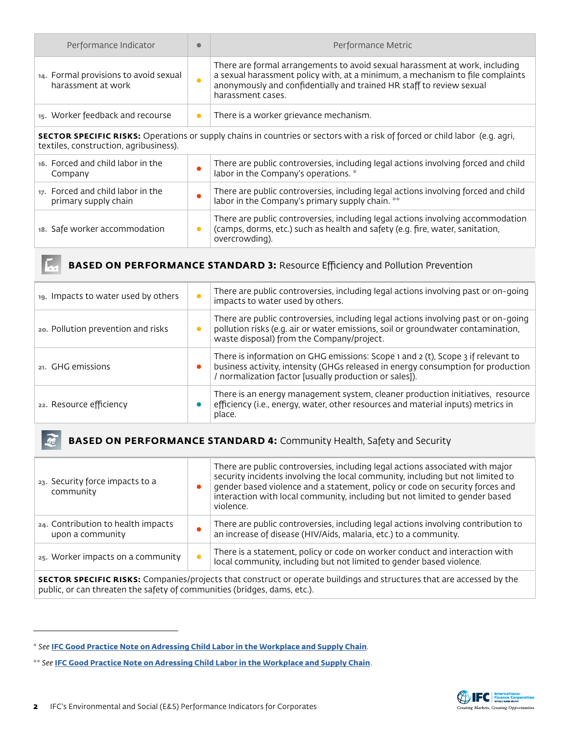| Performance Indicator                                                                                                                                                        | $\bullet$ | Performance Metric                                                                                                                                                                                                                                        |  |
|------------------------------------------------------------------------------------------------------------------------------------------------------------------------------|-----------|-----------------------------------------------------------------------------------------------------------------------------------------------------------------------------------------------------------------------------------------------------------|--|
| 14. Formal provisions to avoid sexual<br>harassment at work                                                                                                                  | $\bullet$ | There are formal arrangements to avoid sexual harassment at work, including<br>a sexual harassment policy with, at a minimum, a mechanism to file complaints<br>anonymously and confidentially and trained HR staff to review sexual<br>harassment cases. |  |
| 15. Worker feedback and recourse                                                                                                                                             | $\bullet$ | There is a worker grievance mechanism.                                                                                                                                                                                                                    |  |
| <b>SECTOR SPECIFIC RISKS:</b> Operations or supply chains in countries or sectors with a risk of forced or child labor (e.g. agri,<br>textiles, construction, agribusiness). |           |                                                                                                                                                                                                                                                           |  |
| 16. Forced and child labor in the<br>Company                                                                                                                                 | $\bullet$ | There are public controversies, including legal actions involving forced and child<br>labor in the Company's operations. *                                                                                                                                |  |
| 17. Forced and child labor in the<br>primary supply chain                                                                                                                    | $\bullet$ | There are public controversies, including legal actions involving forced and child<br>labor in the Company's primary supply chain. **                                                                                                                     |  |
| 18. Safe worker accommodation                                                                                                                                                | $\bullet$ | There are public controversies, including legal actions involving accommodation<br>(camps, dorms, etc.) such as health and safety (e.g. fire, water, sanitation,<br>overcrowding).                                                                        |  |

## **BASED ON PERFORMANCE STANDARD 3: Resource Efficiency and Pollution Prevention**

| 19. Impacts to water used by others |           | There are public controversies, including legal actions involving past or on-going<br>impacts to water used by others.                                                                                                       |
|-------------------------------------|-----------|------------------------------------------------------------------------------------------------------------------------------------------------------------------------------------------------------------------------------|
| 20. Pollution prevention and risks  |           | There are public controversies, including legal actions involving past or on-going<br>pollution risks (e.g. air or water emissions, soil or groundwater contamination,<br>waste disposal) from the Company/project.          |
| 21. GHG emissions                   | $\bullet$ | There is information on GHG emissions: Scope 1 and 2 (t), Scope 3 if relevant to<br>business activity, intensity (GHGs released in energy consumption for production<br>normalization factor [usually production or sales]). |
| 22. Resource efficiency             |           | There is an energy management system, cleaner production initiatives, resource<br>efficiency (i.e., energy, water, other resources and material inputs) metrics in<br>place.                                                 |

## **BASED ON PERFORMANCE STANDARD 4:** Community Health, Safety and Security  $\mathbb{R}$

| 23. Security force impacts to a<br>community                                                                                 |           | There are public controversies, including legal actions associated with major<br>security incidents involving the local community, including but not limited to<br>gender based violence and a statement, policy or code on security forces and<br>interaction with local community, including but not limited to gender based<br>violence. |
|------------------------------------------------------------------------------------------------------------------------------|-----------|---------------------------------------------------------------------------------------------------------------------------------------------------------------------------------------------------------------------------------------------------------------------------------------------------------------------------------------------|
| 24. Contribution to health impacts<br>upon a community                                                                       |           | There are public controversies, including legal actions involving contribution to<br>an increase of disease (HIV/Aids, malaria, etc.) to a community.                                                                                                                                                                                       |
| 25. Worker impacts on a community                                                                                            | $\bullet$ | There is a statement, policy or code on worker conduct and interaction with<br>local community, including but not limited to gender based violence.                                                                                                                                                                                         |
| <b>SECTOR SPECIFIC RISKS:</b> Companies/projects that construct or operate buildings and structures that are accessed by the |           |                                                                                                                                                                                                                                                                                                                                             |

**SECTOR SPECIFIC RISKS:** Companies/projects that construct or operate buildings and structures that are accessed by the public, or can threaten the safety of communities (bridges, dams, etc.).



L.

<sup>\*</sup> *See* **[IFC Good Practice Note on Adressing Child Labor in the Workplace and Supply Chain](https://www.scribd.com/fullscreen/16907676?access_key=key-2oqnn2931f6f53uk9alu)**[.](https://www.scribd.com/fullscreen/16907676?access_key=key-2oqnn2931f6f53uk9alu
)

<sup>\*\*</sup> *See* **[IFC Good Practice Note on Adressing Child Labor in the Workplace and Supply Chain](https://www.scribd.com/fullscreen/16907676?access_key=key-2oqnn2931f6f53uk9alu
)**.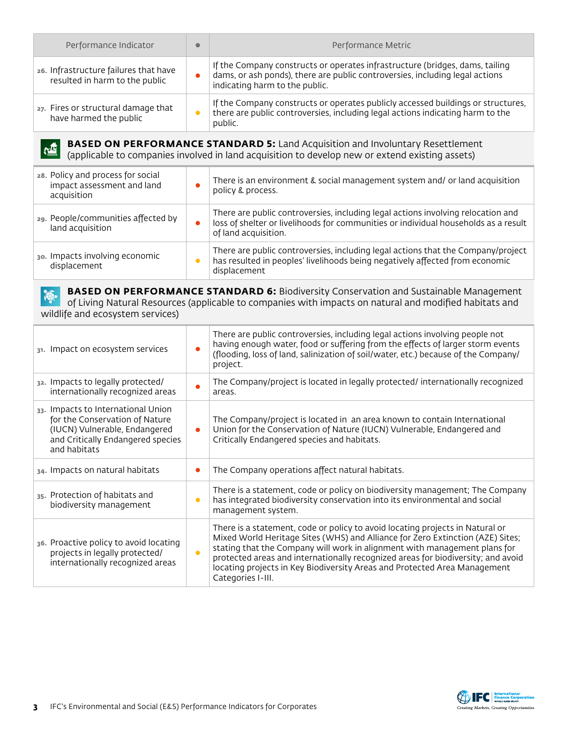| Performance Indicator                                                                                                                                                                                  | C         | Performance Metric                                                                                                                                                                              |  |
|--------------------------------------------------------------------------------------------------------------------------------------------------------------------------------------------------------|-----------|-------------------------------------------------------------------------------------------------------------------------------------------------------------------------------------------------|--|
| 26. Infrastructure failures that have<br>resulted in harm to the public                                                                                                                                | $\bullet$ | If the Company constructs or operates infrastructure (bridges, dams, tailing<br>dams, or ash ponds), there are public controversies, including legal actions<br>indicating harm to the public.  |  |
| 27. Fires or structural damage that<br>have harmed the public                                                                                                                                          | $\bullet$ | If the Company constructs or operates publicly accessed buildings or structures,<br>there are public controversies, including legal actions indicating harm to the<br>public.                   |  |
| <b>BASED ON PERFORMANCE STANDARD 5:</b> Land Acquisition and Involuntary Resettlement<br>(applicable to companies involved in land acquisition to develop new or extend existing assets)               |           |                                                                                                                                                                                                 |  |
| 28. Policy and process for social<br>impact assessment and land<br>acquisition                                                                                                                         | $\bullet$ | There is an environment & social management system and/ or land acquisition<br>policy & process.                                                                                                |  |
| 29. People/communities affected by<br>land acquisition                                                                                                                                                 | $\bullet$ | There are public controversies, including legal actions involving relocation and<br>loss of shelter or livelihoods for communities or individual households as a result<br>of land acquisition. |  |
| 30. Impacts involving economic<br>displacement                                                                                                                                                         | $\bullet$ | There are public controversies, including legal actions that the Company/project<br>has resulted in peoples' livelihoods being negatively affected from economic<br>displacement                |  |
| <b>BASED ON PERFORMANCE STANDARD 6:</b> Biodiversity Conservation and Sustainable Management<br>of Living Natural Resources (applicable to companies with impacts on natural and modified habitats and |           |                                                                                                                                                                                                 |  |

wildlife and ecosystem services)

| 31. Impact on ecosystem services                                                                                                                           | Ċ         | There are public controversies, including legal actions involving people not<br>having enough water, food or suffering from the effects of larger storm events<br>(flooding, loss of land, salinization of soil/water, etc.) because of the Company/<br>project.                                                                                                                                                                   |
|------------------------------------------------------------------------------------------------------------------------------------------------------------|-----------|------------------------------------------------------------------------------------------------------------------------------------------------------------------------------------------------------------------------------------------------------------------------------------------------------------------------------------------------------------------------------------------------------------------------------------|
| 32. Impacts to legally protected/<br>internationally recognized areas                                                                                      | $\bullet$ | The Company/project is located in legally protected/ internationally recognized<br>areas.                                                                                                                                                                                                                                                                                                                                          |
| 33. Impacts to International Union<br>for the Conservation of Nature<br>(IUCN) Vulnerable, Endangered<br>and Critically Endangered species<br>and habitats | $\bullet$ | The Company/project is located in an area known to contain International<br>Union for the Conservation of Nature (IUCN) Vulnerable, Endangered and<br>Critically Endangered species and habitats.                                                                                                                                                                                                                                  |
| 34. Impacts on natural habitats                                                                                                                            | $\bullet$ | The Company operations affect natural habitats.                                                                                                                                                                                                                                                                                                                                                                                    |
| 35. Protection of habitats and<br>biodiversity management                                                                                                  | $\bullet$ | There is a statement, code or policy on biodiversity management; The Company<br>has integrated biodiversity conservation into its environmental and social<br>management system.                                                                                                                                                                                                                                                   |
| 36. Proactive policy to avoid locating<br>projects in legally protected/<br>internationally recognized areas                                               | $\bullet$ | There is a statement, code or policy to avoid locating projects in Natural or<br>Mixed World Heritage Sites (WHS) and Alliance for Zero Extinction (AZE) Sites;<br>stating that the Company will work in alignment with management plans for<br>protected areas and internationally recognized areas for biodiversity; and avoid<br>locating projects in Key Biodiversity Areas and Protected Area Management<br>Categories I-III. |